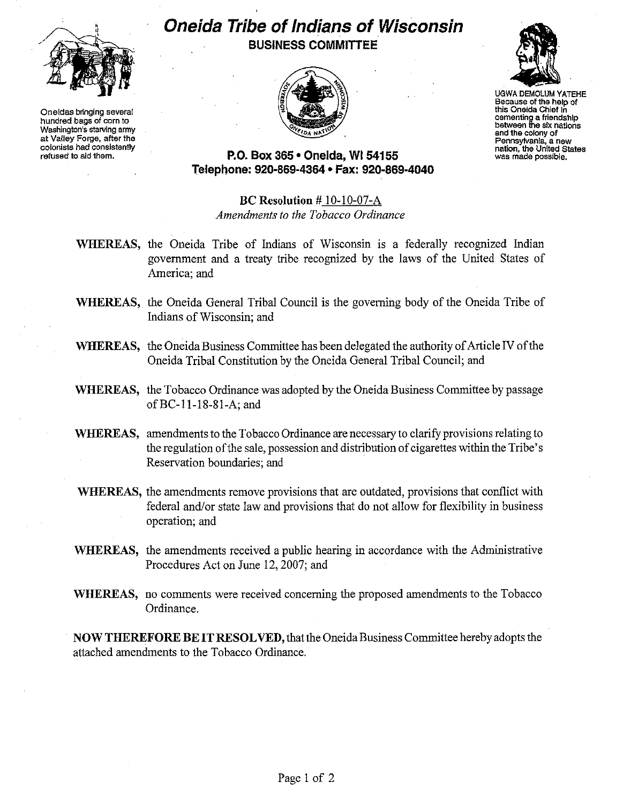

**Oneidas bringing several hundred bags of corn to Washington's starving army at Valley Forge, after the colonists had consistently refused to aid them.** 

## **Oneida Tribe of Indians of Wisconsin BUSINESS COMMITTEE**





UGWA DEMOLUM YATEHE **Because of the help of this Oneida Chief in cementing a friendship between the six nations and the colony of Pennsylvania, a new nation, the United States was made possible.** 

## **P.O. Box 365' Oneida,** WI 54155 **Telephone: 920-869-4364 • Fax: 920-869-4040**

## **Be Resolution** # 10-10-07-A *Amendments to the Tobacco Ordinance*

- **WHEREAS,** the Oneida Tribe of Indians of Wisconsin is a federally recognized Indian government and a treaty tribe recognized by the laws of the United States of America; and
- **WHEREAS,** the Oneida General Tribal Council is the governing body of the Oneida Tribe of Indians of Wisconsin; and
- **WHEREAS,** the Oneida Business Committee has been delegated the authority of Article IV of the Oneida Tribal Constitution by the Oneida General Tribal Council; and
- **WHEREAS,** the Tobacco Ordinance was adopted by the Oneida Business Committee by passage ofBC-II-18-81-A; and
- **WHEREAS,** amendments to the Tobacco Ordinance are necessary to clarify provisions relating to the regulation of the sale, possession and distribution of cigarettes within the Tribe's Reservation boundaries; and
- **WHEREAS,** the amendments remove provisions that are outdated, provisions that conflict with federal and/or state law and provisions that do not allow for flexibility in business operation; and
- **WHEREAS,** the amendments received a public hearing in accordance with the Administrative Procedures Act on June 12,2007; and
- **WHEREAS,** no comments were received concerning the proposed amendments to the Tobacco Ordinance.

**NOW THEREFORE BE IT RESOLVED, that the Oneida Business Committee hereby adopts the** attached amendments to the Tobacco Ordinance.